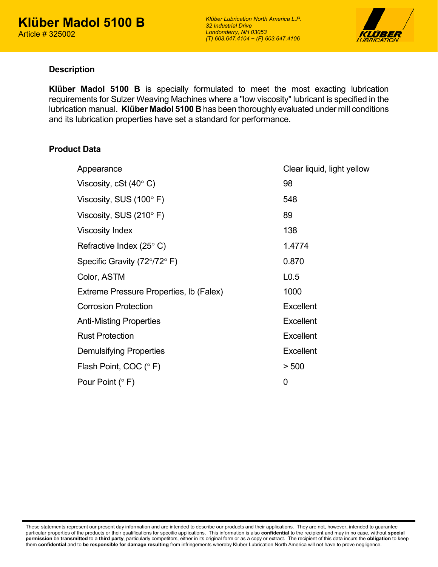

### **Description**

**Klüber Madol 5100 B** is specially formulated to meet the most exacting lubrication requirements for Sulzer Weaving Machines where a "low viscosity" lubricant is specified in the lubrication manual. **Klüber Madol 5100 B** has been thoroughly evaluated under mill conditions and its lubrication properties have set a standard for performance.

## **Product Data**

| Appearance                                    | Clear liquid, light yellow |
|-----------------------------------------------|----------------------------|
| Viscosity, cSt $(40^{\circ} C)$               | 98                         |
| Viscosity, SUS $(100^{\circ} \text{ F})$      | 548                        |
| Viscosity, SUS $(210^{\circ} \text{ F})$      | 89                         |
| <b>Viscosity Index</b>                        | 138                        |
| Refractive Index (25 $\degree$ C)             | 1.4774                     |
| Specific Gravity ( $72^{\circ}/72^{\circ}$ F) | 0.870                      |
| Color, ASTM                                   | L <sub>0.5</sub>           |
| Extreme Pressure Properties, Ib (Falex)       | 1000                       |
| <b>Corrosion Protection</b>                   | <b>Excellent</b>           |
| <b>Anti-Misting Properties</b>                | <b>Excellent</b>           |
| <b>Rust Protection</b>                        | <b>Excellent</b>           |
| <b>Demulsifying Properties</b>                | <b>Excellent</b>           |
| Flash Point, COC (°F)                         | > 500                      |
| Pour Point $(° F)$                            | $\mathbf 0$                |
|                                               |                            |

These statements represent our present day information and are intended to describe our products and their applications. They are not, however, intended to guarantee particular properties of the products or their qualifications for specific applications. This information is also **confidential** to the recipient and may in no case, without **special permission** be **transmitted** to a **third party**, particularly competitors, either in its original form or as a copy or extract. The recipient of this data incurs the **obligation** to keep them **confidential** and to **be responsible for damage resulting** from infringements whereby Kluber Lubrication North America will not have to prove negligence.